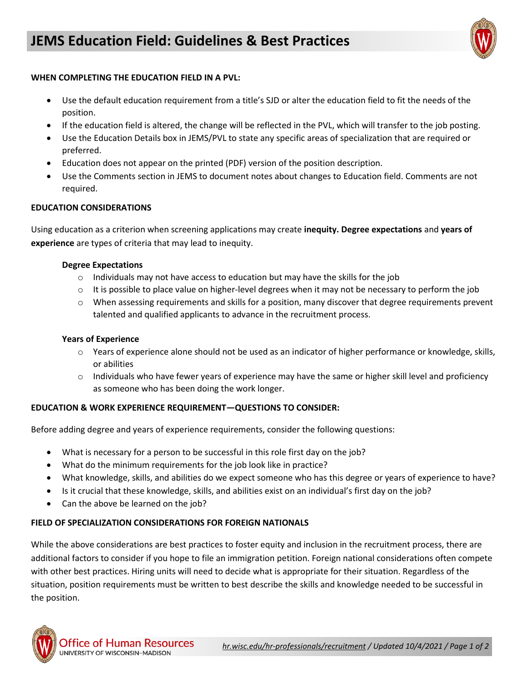

# **WHEN COMPLETING THE EDUCATION FIELD IN A PVL:**

- Use the default education requirement from a title's SJD or alter the education field to fit the needs of the position.
- If the education field is altered, the change will be reflected in the PVL, which will transfer to the job posting.
- Use the Education Details box in JEMS/PVL to state any specific areas of specialization that are required or preferred.
- Education does not appear on the printed (PDF) version of the position description.
- Use the Comments section in JEMS to document notes about changes to Education field. Comments are not required.

# **EDUCATION CONSIDERATIONS**

Using education as a criterion when screening applications may create **inequity. Degree expectations** and **years of experience** are types of criteria that may lead to inequity.

# **Degree Expectations**

- $\circ$  Individuals may not have access to education but may have the skills for the job
- $\circ$  It is possible to place value on higher-level degrees when it may not be necessary to perform the job
- $\circ$  When assessing requirements and skills for a position, many discover that degree requirements prevent talented and qualified applicants to advance in the recruitment process.

#### **Years of Experience**

- $\circ$  Years of experience alone should not be used as an indicator of higher performance or knowledge, skills, or abilities
- $\circ$  Individuals who have fewer years of experience may have the same or higher skill level and proficiency as someone who has been doing the work longer.

# **EDUCATION & WORK EXPERIENCE REQUIREMENT—QUESTIONS TO CONSIDER:**

Before adding degree and years of experience requirements, consider the following questions:

- What is necessary for a person to be successful in this role first day on the job?
- What do the minimum requirements for the job look like in practice?
- What knowledge, skills, and abilities do we expect someone who has this degree or years of experience to have?
- Is it crucial that these knowledge, skills, and abilities exist on an individual's first day on the job?
- Can the above be learned on the job?

# **FIELD OF SPECIALIZATION CONSIDERATIONS FOR FOREIGN NATIONALS**

While the above considerations are best practices to foster equity and inclusion in the recruitment process, there are additional factors to consider if you hope to file an immigration petition. Foreign national considerations often compete with other best practices. Hiring units will need to decide what is appropriate for their situation. Regardless of the situation, position requirements must be written to best describe the skills and knowledge needed to be successful in the position.